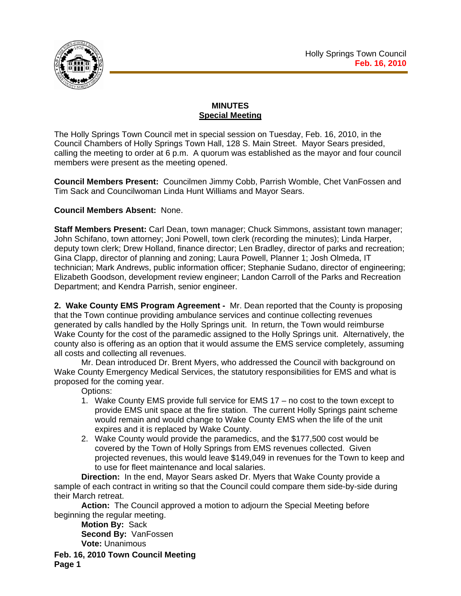

# **MINUTES Special Meeting**

The Holly Springs Town Council met in special session on Tuesday, Feb. 16, 2010, in the Council Chambers of Holly Springs Town Hall, 128 S. Main Street. Mayor Sears presided, calling the meeting to order at 6 p.m. A quorum was established as the mayor and four council members were present as the meeting opened.

**Council Members Present:** Councilmen Jimmy Cobb, Parrish Womble, Chet VanFossen and Tim Sack and Councilwoman Linda Hunt Williams and Mayor Sears.

## **Council Members Absent:** None.

**Staff Members Present:** Carl Dean, town manager; Chuck Simmons, assistant town manager; John Schifano, town attorney; Joni Powell, town clerk (recording the minutes); Linda Harper, deputy town clerk; Drew Holland, finance director; Len Bradley, director of parks and recreation; Gina Clapp, director of planning and zoning; Laura Powell, Planner 1; Josh Olmeda, IT technician; Mark Andrews, public information officer; Stephanie Sudano, director of engineering; Elizabeth Goodson, development review engineer; Landon Carroll of the Parks and Recreation Department; and Kendra Parrish, senior engineer.

**2. Wake County EMS Program Agreement -** Mr. Dean reported that the County is proposing that the Town continue providing ambulance services and continue collecting revenues generated by calls handled by the Holly Springs unit. In return, the Town would reimburse Wake County for the cost of the paramedic assigned to the Holly Springs unit. Alternatively, the county also is offering as an option that it would assume the EMS service completely, assuming all costs and collecting all revenues.

Mr. Dean introduced Dr. Brent Myers, who addressed the Council with background on Wake County Emergency Medical Services, the statutory responsibilities for EMS and what is proposed for the coming year.

Options:

- 1. Wake County EMS provide full service for EMS 17 no cost to the town except to provide EMS unit space at the fire station. The current Holly Springs paint scheme would remain and would change to Wake County EMS when the life of the unit expires and it is replaced by Wake County.
- 2. Wake County would provide the paramedics, and the \$177,500 cost would be covered by the Town of Holly Springs from EMS revenues collected. Given projected revenues, this would leave \$149,049 in revenues for the Town to keep and to use for fleet maintenance and local salaries.

**Direction:** In the end, Mayor Sears asked Dr. Myers that Wake County provide a sample of each contract in writing so that the Council could compare them side-by-side during their March retreat.

**Action:** The Council approved a motion to adjourn the Special Meeting before beginning the regular meeting.

**Motion By:** Sack **Second By:** VanFossen **Vote:** Unanimous

**Feb. 16, 2010 Town Council Meeting Page 1**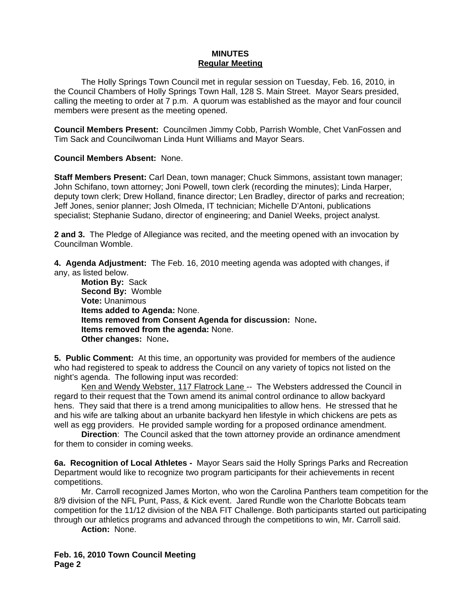#### **MINUTES Regular Meeting**

The Holly Springs Town Council met in regular session on Tuesday, Feb. 16, 2010, in the Council Chambers of Holly Springs Town Hall, 128 S. Main Street. Mayor Sears presided, calling the meeting to order at 7 p.m. A quorum was established as the mayor and four council members were present as the meeting opened.

**Council Members Present:** Councilmen Jimmy Cobb, Parrish Womble, Chet VanFossen and Tim Sack and Councilwoman Linda Hunt Williams and Mayor Sears.

### **Council Members Absent:** None.

**Staff Members Present:** Carl Dean, town manager; Chuck Simmons, assistant town manager; John Schifano, town attorney; Joni Powell, town clerk (recording the minutes); Linda Harper, deputy town clerk; Drew Holland, finance director; Len Bradley, director of parks and recreation; Jeff Jones, senior planner; Josh Olmeda, IT technician; Michelle D'Antoni, publications specialist; Stephanie Sudano, director of engineering; and Daniel Weeks, project analyst.

**2 and 3.** The Pledge of Allegiance was recited, and the meeting opened with an invocation by Councilman Womble.

**4. Agenda Adjustment:** The Feb. 16, 2010 meeting agenda was adopted with changes, if any, as listed below.

**Motion By:** Sack **Second By:** Womble **Vote:** Unanimous **Items added to Agenda:** None. **Items removed from Consent Agenda for discussion:** None**. Items removed from the agenda:** None. **Other changes:** None**.** 

**5. Public Comment:** At this time, an opportunity was provided for members of the audience who had registered to speak to address the Council on any variety of topics not listed on the night's agenda. The following input was recorded:

Ken and Wendy Webster, 117 Flatrock Lane -- The Websters addressed the Council in regard to their request that the Town amend its animal control ordinance to allow backyard hens. They said that there is a trend among municipalities to allow hens. He stressed that he and his wife are talking about an urbanite backyard hen lifestyle in which chickens are pets as well as egg providers. He provided sample wording for a proposed ordinance amendment.

**Direction**: The Council asked that the town attorney provide an ordinance amendment for them to consider in coming weeks.

**6a. Recognition of Local Athletes -** Mayor Sears said the Holly Springs Parks and Recreation Department would like to recognize two program participants for their achievements in recent competitions.

Mr. Carroll recognized James Morton, who won the Carolina Panthers team competition for the 8/9 division of the NFL Punt, Pass, & Kick event. Jared Rundle won the Charlotte Bobcats team competition for the 11/12 division of the NBA FIT Challenge. Both participants started out participating through our athletics programs and advanced through the competitions to win, Mr. Carroll said.

**Action:** None.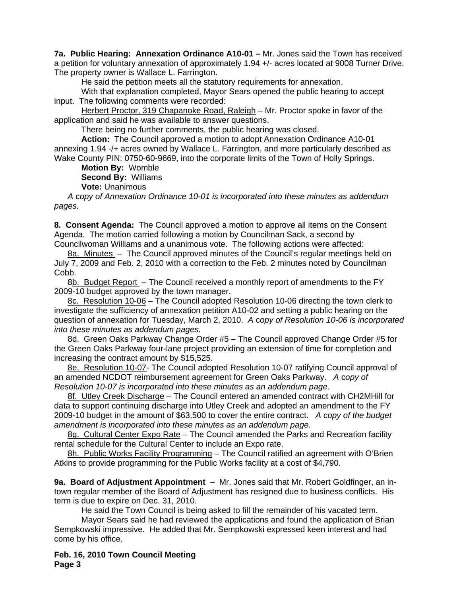**7a. Public Hearing: Annexation Ordinance A10-01 –** Mr. Jones said the Town has received a petition for voluntary annexation of approximately 1.94 +/- acres located at 9008 Turner Drive. The property owner is Wallace L. Farrington.

He said the petition meets all the statutory requirements for annexation.

 With that explanation completed, Mayor Sears opened the public hearing to accept input. The following comments were recorded:

Herbert Proctor, 319 Chapanoke Road, Raleigh - Mr. Proctor spoke in favor of the application and said he was available to answer questions.

There being no further comments, the public hearing was closed.

**Action:** The Council approved a motion to adopt Annexation Ordinance A10-01 annexing 1.94 -/+ acres owned by Wallace L. Farrington, and more particularly described as Wake County PIN: 0750-60-9669, into the corporate limits of the Town of Holly Springs.

**Motion By:** Womble

**Second By:** Williams

**Vote:** Unanimous

*A* c*opy of Annexation Ordinance 10-01 is incorporated into these minutes as addendum pages.*

**8. Consent Agenda:** The Council approved a motion to approve all items on the Consent Agenda. The motion carried following a motion by Councilman Sack, a second by Councilwoman Williams and a unanimous vote. The following actions were affected:

8a. Minutes – The Council approved minutes of the Council's regular meetings held on July 7, 2009 and Feb. 2, 2010 with a correction to the Feb. 2 minutes noted by Councilman Cobb.

8b. Budget Report – The Council received a monthly report of amendments to the FY 2009-10 budget approved by the town manager.

8c. Resolution 10-06 – The Council adopted Resolution 10-06 directing the town clerk to investigate the sufficiency of annexation petition A10-02 and setting a public hearing on the question of annexation for Tuesday, March 2, 2010. *A* c*opy of Resolution 10-06 is incorporated into these minutes as addendum pages.*

8d. Green Oaks Parkway Change Order #5 – The Council approved Change Order #5 for the Green Oaks Parkway four-lane project providing an extension of time for completion and increasing the contract amount by \$15,525.

8e. Resolution 10-07- The Council adopted Resolution 10-07 ratifying Council approval of an amended NCDOT reimbursement agreement for Green Oaks Parkway. *A* c*opy of Resolution 10-07 is incorporated into these minutes as an addendum page.*

8f. Utley Creek Discharge - The Council entered an amended contract with CH2MHill for data to support continuing discharge into Utley Creek and adopted an amendment to the FY 2009-10 budget in the amount of \$63,500 to cover the entire contract.*A* c*opy of the budget amendment is incorporated into these minutes as an addendum page.*

8g. Cultural Center Expo Rate – The Council amended the Parks and Recreation facility rental schedule for the Cultural Center to include an Expo rate.

8h. Public Works Facility Programming - The Council ratified an agreement with O'Brien Atkins to provide programming for the Public Works facility at a cost of \$4,790.

**9a. Board of Adjustment Appointment** – Mr. Jones said that Mr. Robert Goldfinger, an intown regular member of the Board of Adjustment has resigned due to business conflicts. His term is due to expire on Dec. 31, 2010.

He said the Town Council is being asked to fill the remainder of his vacated term.

Mayor Sears said he had reviewed the applications and found the application of Brian Sempkowski impressive. He added that Mr. Sempkowski expressed keen interest and had come by his office.

**Feb. 16, 2010 Town Council Meeting Page 3**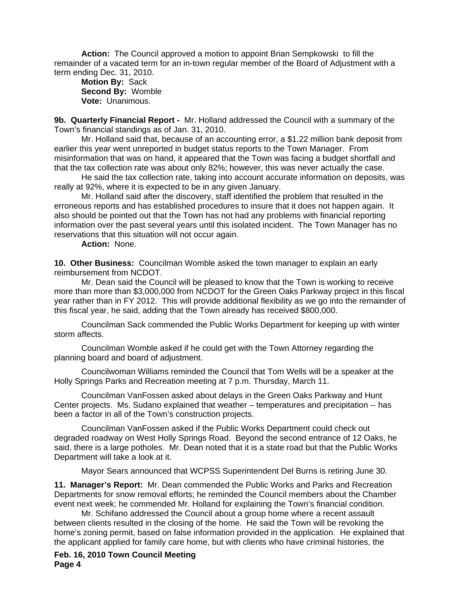**Action:** The Council approved a motion to appoint Brian Sempkowski to fill the remainder of a vacated term for an in-town regular member of the Board of Adjustment with a term ending Dec. 31, 2010.

**Motion By:** Sack **Second By:** Womble **Vote:** Unanimous.

**9b. Quarterly Financial Report -** Mr. Holland addressed the Council with a summary of the Town's financial standings as of Jan. 31, 2010.

Mr. Holland said that, because of an accounting error, a \$1.22 million bank deposit from earlier this year went unreported in budget status reports to the Town Manager. From misinformation that was on hand, it appeared that the Town was facing a budget shortfall and that the tax collection rate was about only 82%; however, this was never actually the case.

He said the tax collection rate, taking into account accurate information on deposits, was really at 92%, where it is expected to be in any given January.

Mr. Holland said after the discovery, staff identified the problem that resulted in the erroneous reports and has established procedures to insure that it does not happen again. It also should be pointed out that the Town has not had any problems with financial reporting information over the past several years until this isolated incident. The Town Manager has no reservations that this situation will not occur again.

**Action:** None.

**10. Other Business:** Councilman Womble asked the town manager to explain an early reimbursement from NCDOT.

Mr. Dean said the Council will be pleased to know that the Town is working to receive more than more than \$3,000,000 from NCDOT for the Green Oaks Parkway project in this fiscal year rather than in FY 2012. This will provide additional flexibility as we go into the remainder of this fiscal year, he said, adding that the Town already has received \$800,000.

 Councilman Sack commended the Public Works Department for keeping up with winter storm affects.

 Councilman Womble asked if he could get with the Town Attorney regarding the planning board and board of adjustment.

 Councilwoman Williams reminded the Council that Tom Wells will be a speaker at the Holly Springs Parks and Recreation meeting at 7 p.m. Thursday, March 11.

 Councilman VanFossen asked about delays in the Green Oaks Parkway and Hunt Center projects. Ms. Sudano explained that weather – temperatures and precipitation -- has been a factor in all of the Town's construction projects.

 Councilman VanFossen asked if the Public Works Department could check out degraded roadway on West Holly Springs Road. Beyond the second entrance of 12 Oaks, he said, there is a large potholes. Mr. Dean noted that it is a state road but that the Public Works Department will take a look at it.

Mayor Sears announced that WCPSS Superintendent Del Burns is retiring June 30.

**11. Manager's Report:** Mr. Dean commended the Public Works and Parks and Recreation Departments for snow removal efforts; he reminded the Council members about the Chamber event next week; he commended Mr. Holland for explaining the Town's financial condition.

Mr. Schifano addressed the Council about a group home where a recent assault between clients resulted in the closing of the home. He said the Town will be revoking the home's zoning permit, based on false information provided in the application. He explained that the applicant applied for family care home, but with clients who have criminal histories, the